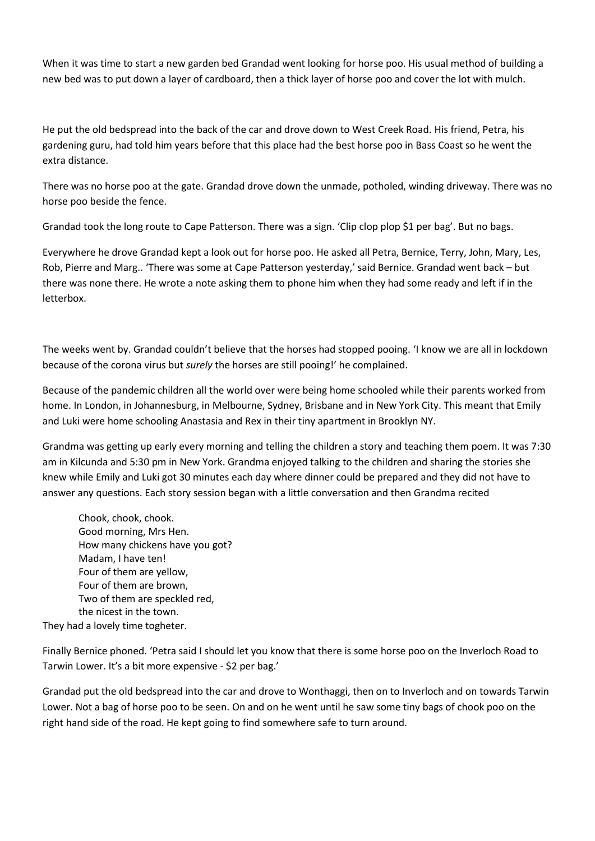When it was time to start a new garden bed Grandad went looking for horse poo. His usual method of building a new bed was to put down a layer of cardboard, then a thick layer of horse poo and cover the lot with mulch.

He put the old bedspread into the back of the car and drove down to West Creek Road. His friend, Petra, his gardening guru, had told him years before that this place had the best horse poo in Bass Coast so he went the extra distance.

There was no horse poo at the gate. Grandad drove down the unmade, potholed, winding driveway. There was no horse poo beside the fence.

Grandad took the long route to Cape Patterson. There was a sign. 'Clip clop plop \$1 per bag'. But no bags.

Everywhere he drove Grandad kept a look out for horse poo. He asked all Petra, Bernice, Terry, John, Mary, Les, Rob, Pierre and Marg.. 'There was some at Cape Patterson yesterday,' said Bernice. Grandad went back – but there was none there. He wrote a note asking them to phone him when they had some ready and left if in the letterbox.

The weeks went by. Grandad couldn't believe that the horses had stopped pooing. 'I know we are all in lockdown because of the corona virus but *surely* the horses are still pooing!' he complained.

Because of the pandemic children all the world over were being home schooled while their parents worked from home. In London, in Johannesburg, in Melbourne, Sydney, Brisbane and in New York City. This meant that Emily and Luki were home schooling Anastasia and Rex in their tiny apartment in Brooklyn NY.

Grandma was getting up early every morning and telling the children a story and teaching them poem. It was 7:30 am in Kilcunda and 5:30 pm in New York. Grandma enjoyed talking to the children and sharing the stories she knew while Emily and Luki got 30 minutes each day where dinner could be prepared and they did not have to answer any questions. Each story session began with a little conversation and then Grandma recited

Chook, chook, chook. Good morning, Mrs Hen. How many chickens have you got? Madam, I have ten! Four of them are yellow, Four of them are brown, Two of them are speckled red, the nicest in the town.

They had a lovely time togheter.

Finally Bernice phoned. 'Petra said I should let you know that there is some horse poo on the Inverloch Road to Tarwin Lower. It's a bit more expensive - \$2 per bag.'

Grandad put the old bedspread into the car and drove to Wonthaggi, then on to Inverloch and on towards Tarwin Lower. Not a bag of horse poo to be seen. On and on he went until he saw some tiny bags of chook poo on the right hand side of the road. He kept going to find somewhere safe to turn around.